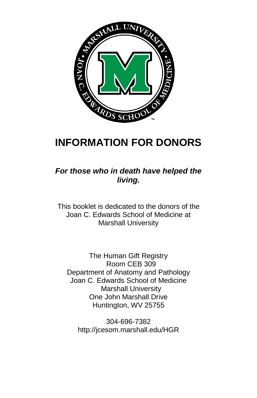

# **INFORMATION FOR DONORS**

*For those who in death have helped the living.*

This booklet is dedicated to the donors of the Joan C. Edwards School of Medicine at Marshall University

The Human Gift Registry Room CEB 309 Department of Anatomy and Pathology Joan C. Edwards School of Medicine Marshall University One John Marshall Drive Huntington, WV 25755

304-696-7382 http://jcesom.marshall.edu/HGR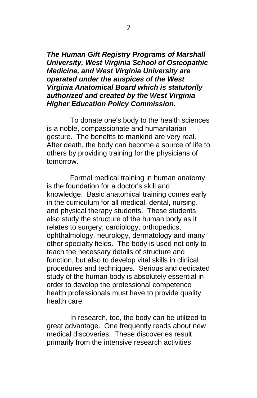*The Human Gift Registry Programs of Marshall University, West Virginia School of Osteopathic Medicine, and West Virginia University are operated under the auspices of the West Virginia Anatomical Board which is statutorily authorized and created by the West Virginia Higher Education Policy Commission.*

To donate one's body to the health sciences is a noble, compassionate and humanitarian gesture. The benefits to mankind are very real. After death, the body can become a source of life to others by providing training for the physicians of tomorrow.

Formal medical training in human anatomy is the foundation for a doctor's skill and knowledge. Basic anatomical training comes early in the curriculum for all medical, dental, nursing, and physical therapy students. These students also study the structure of the human body as it relates to surgery, cardiology, orthopedics, ophthalmology, neurology, dermatology and many other specialty fields. The body is used not only to teach the necessary details of structure and function, but also to develop vital skills in clinical procedures and techniques. Serious and dedicated study of the human body is absolutely essential in order to develop the professional competence health professionals must have to provide quality health care.

In research, too, the body can be utilized to great advantage. One frequently reads about new medical discoveries. These discoveries result primarily from the intensive research activities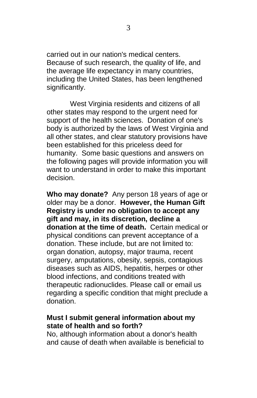carried out in our nation's medical centers. Because of such research, the quality of life, and the average life expectancy in many countries, including the United States, has been lengthened significantly.

West Virginia residents and citizens of all other states may respond to the urgent need for support of the health sciences. Donation of one's body is authorized by the laws of West Virginia and all other states, and clear statutory provisions have been established for this priceless deed for humanity. Some basic questions and answers on the following pages will provide information you will want to understand in order to make this important decision.

**Who may donate?** Any person 18 years of age or older may be a donor. **However, the Human Gift Registry is under no obligation to accept any gift and may, in its discretion, decline a donation at the time of death.** Certain medical or physical conditions can prevent acceptance of a donation. These include, but are not limited to: organ donation, autopsy, major trauma, recent surgery, amputations, obesity, sepsis, contagious diseases such as AIDS, hepatitis, herpes or other blood infections, and conditions treated with therapeutic radionuclides. Please call or email us regarding a specific condition that might preclude a donation.

## **Must I submit general information about my state of health and so forth?**

No, although information about a donor's health and cause of death when available is beneficial to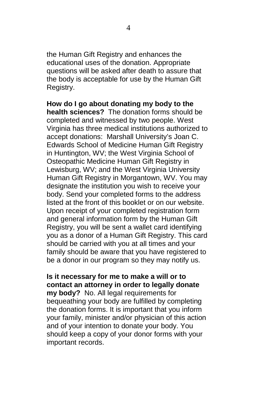the Human Gift Registry and enhances the educational uses of the donation. Appropriate questions will be asked after death to assure that the body is acceptable for use by the Human Gift Registry.

**How do I go about donating my body to the health sciences?** The donation forms should be completed and witnessed by two people. West Virginia has three medical institutions authorized to accept donations: Marshall University's Joan C. Edwards School of Medicine Human Gift Registry in Huntington, WV; the West Virginia School of Osteopathic Medicine Human Gift Registry in Lewisburg, WV; and the West Virginia University Human Gift Registry in Morgantown, WV. You may designate the institution you wish to receive your body. Send your completed forms to the address listed at the front of this booklet or on our website. Upon receipt of your completed registration form and general information form by the Human Gift Registry, you will be sent a wallet card identifying you as a donor of a Human Gift Registry. This card should be carried with you at all times and your family should be aware that you have registered to be a donor in our program so they may notify us.

# **Is it necessary for me to make a will or to contact an attorney in order to legally donate**

**my body?** No. All legal requirements for bequeathing your body are fulfilled by completing the donation forms. It is important that you inform your family, minister and/or physician of this action and of your intention to donate your body. You should keep a copy of your donor forms with your important records.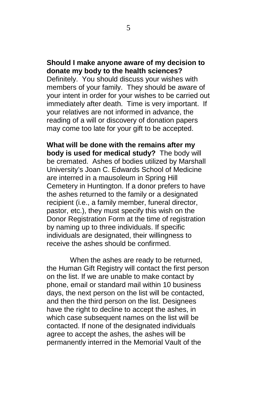## **Should I make anyone aware of my decision to donate my body to the health sciences?**

Definitely. You should discuss your wishes with members of your family. They should be aware of your intent in order for your wishes to be carried out immediately after death. Time is very important. If your relatives are not informed in advance, the reading of a will or discovery of donation papers may come too late for your gift to be accepted.

**What will be done with the remains after my body is used for medical study?** The body will be cremated. Ashes of bodies utilized by Marshall University's Joan C. Edwards School of Medicine are interred in a mausoleum in Spring Hill Cemetery in Huntington. If a donor prefers to have the ashes returned to the family or a designated recipient (i.e., a family member, funeral director, pastor, etc.), they must specify this wish on the Donor Registration Form at the time of registration by naming up to three individuals. If specific individuals are designated, their willingness to receive the ashes should be confirmed.

When the ashes are ready to be returned, the Human Gift Registry will contact the first person on the list. If we are unable to make contact by phone, email or standard mail within 10 business days, the next person on the list will be contacted, and then the third person on the list. Designees have the right to decline to accept the ashes, in which case subsequent names on the list will be contacted. If none of the designated individuals agree to accept the ashes, the ashes will be permanently interred in the Memorial Vault of the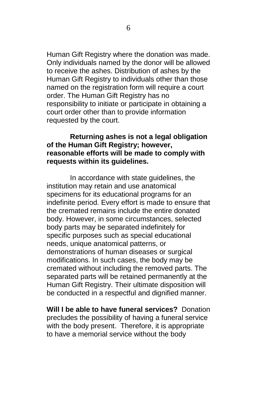Human Gift Registry where the donation was made. Only individuals named by the donor will be allowed to receive the ashes. Distribution of ashes by the Human Gift Registry to individuals other than those named on the registration form will require a court order. The Human Gift Registry has no responsibility to initiate or participate in obtaining a court order other than to provide information requested by the court.

# **Returning ashes is not a legal obligation of the Human Gift Registry; however, reasonable efforts will be made to comply with requests within its guidelines.**

In accordance with state guidelines, the institution may retain and use anatomical specimens for its educational programs for an indefinite period. Every effort is made to ensure that the cremated remains include the entire donated body. However, in some circumstances, selected body parts may be separated indefinitely for specific purposes such as special educational needs, unique anatomical patterns, or demonstrations of human diseases or surgical modifications. In such cases, the body may be cremated without including the removed parts. The separated parts will be retained permanently at the Human Gift Registry. Their ultimate disposition will be conducted in a respectful and dignified manner.

**Will I be able to have funeral services?** Donation precludes the possibility of having a funeral service with the body present. Therefore, it is appropriate to have a memorial service without the body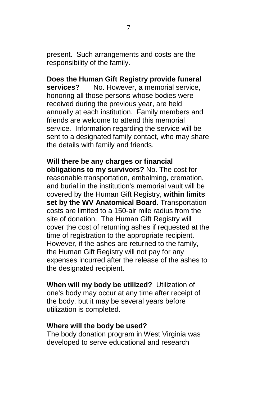present. Such arrangements and costs are the responsibility of the family.

**Does the Human Gift Registry provide funeral<br>
<b>Services?** No. However, a memorial service. **services?** No. However, a memorial service, honoring all those persons whose bodies were received during the previous year, are held annually at each institution. Family members and friends are welcome to attend this memorial service. Information regarding the service will be sent to a designated family contact, who may share the details with family and friends.

**Will there be any charges or financial obligations to my survivors?** No. The cost for reasonable transportation, embalming, cremation, and burial in the institution's memorial vault will be covered by the Human Gift Registry, **within limits set by the WV Anatomical Board.** Transportation costs are limited to a 150-air mile radius from the site of donation. The Human Gift Registry will cover the cost of returning ashes if requested at the time of registration to the appropriate recipient. However, if the ashes are returned to the family, the Human Gift Registry will not pay for any expenses incurred after the release of the ashes to the designated recipient.

**When will my body be utilized?** Utilization of one's body may occur at any time after receipt of the body, but it may be several years before utilization is completed.

#### **Where will the body be used?**

The body donation program in West Virginia was developed to serve educational and research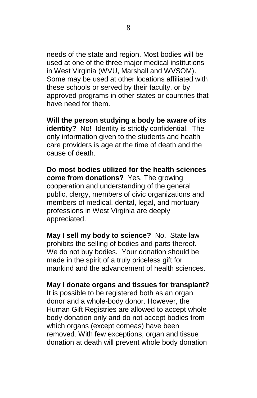needs of the state and region. Most bodies will be used at one of the three major medical institutions in West Virginia (WVU, Marshall and WVSOM). Some may be used at other locations affiliated with these schools or served by their faculty, or by approved programs in other states or countries that have need for them.

**Will the person studying a body be aware of its identity?** No! Identity is strictly confidential. The only information given to the students and health care providers is age at the time of death and the cause of death.

**Do most bodies utilized for the health sciences come from donations?** Yes. The growing cooperation and understanding of the general public, clergy, members of civic organizations and members of medical, dental, legal, and mortuary professions in West Virginia are deeply appreciated.

**May I sell my body to science?** No. State law prohibits the selling of bodies and parts thereof. We do not buy bodies. Your donation should be made in the spirit of a truly priceless gift for mankind and the advancement of health sciences.

#### **May I donate organs and tissues for transplant?**

It is possible to be registered both as an organ donor and a whole-body donor. However, the Human Gift Registries are allowed to accept whole body donation only and do not accept bodies from which organs (except corneas) have been removed. With few exceptions, organ and tissue donation at death will prevent whole body donation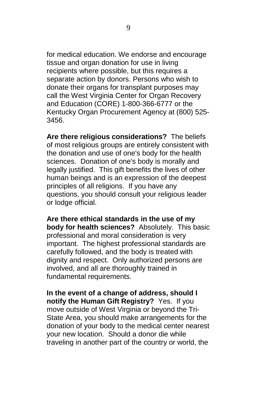for medical education. We endorse and encourage tissue and organ donation for use in living recipients where possible, but this requires a separate action by donors. Persons who wish to donate their organs for transplant purposes may call the West Virginia Center for Organ Recovery and Education (CORE) 1-800-366-6777 or the Kentucky Organ Procurement Agency at (800) 525- 3456.

**Are there religious considerations?** The beliefs of most religious groups are entirely consistent with the donation and use of one's body for the health sciences. Donation of one's body is morally and legally justified. This gift benefits the lives of other human beings and is an expression of the deepest principles of all religions. If you have any questions, you should consult your religious leader or lodge official.

**Are there ethical standards in the use of my body for health sciences?** Absolutely. This basic professional and moral consideration is very important. The highest professional standards are carefully followed, and the body is treated with dignity and respect. Only authorized persons are involved, and all are thoroughly trained in fundamental requirements.

**In the event of a change of address, should I notify the Human Gift Registry?** Yes. If you move outside of West Virginia or beyond the Tri-State Area, you should make arrangements for the donation of your body to the medical center nearest your new location. Should a donor die while traveling in another part of the country or world, the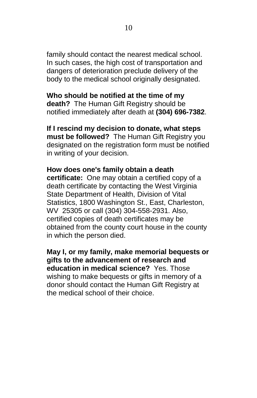family should contact the nearest medical school. In such cases, the high cost of transportation and dangers of deterioration preclude delivery of the body to the medical school originally designated.

## **Who should be notified at the time of my**

**death?** The Human Gift Registry should be notified immediately after death at **(304) 696-7382**.

**If I rescind my decision to donate, what steps must be followed?** The Human Gift Registry you designated on the registration form must be notified in writing of your decision.

# **How does one's family obtain a death**

**certificate:** One may obtain a certified copy of a death certificate by contacting the West Virginia State Department of Health, Division of Vital Statistics, 1800 Washington St., East, Charleston, WV 25305 or call (304) 304-558-2931. Also, certified copies of death certificates may be obtained from the county court house in the county in which the person died.

**May I, or my family, make memorial bequests or gifts to the advancement of research and education in medical science?** Yes. Those wishing to make bequests or gifts in memory of a donor should contact the Human Gift Registry at the medical school of their choice.